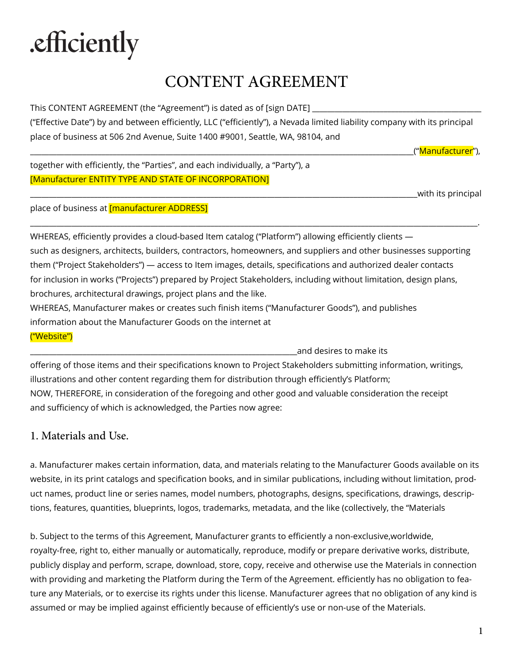# .efficiently

## CONTENT AGREEMENT

This CONTENT AGREEMENT (the "Agreement") is dated as of [sign DATE]

("Effective Date") by and between efficiently, LLC ("efficiently"), a Nevada limited liability company with its principal place of business at 506 2nd Avenue, Suite 1400 #9001, Seattle, WA, 98104, and

("<mark>Manufacturer</mark>"),

together with efficiently, the "Parties", and each individually, a "Party"), a [Manufacturer ENTITY TYPE AND STATE OF INCORPORATION]

\_\_\_\_\_\_\_\_\_\_\_\_\_\_\_\_\_\_\_\_\_\_\_\_\_\_\_\_\_\_\_\_\_\_\_\_\_\_\_\_\_\_\_\_\_\_\_\_\_\_\_\_\_\_\_\_\_\_\_\_\_\_\_\_\_\_\_\_\_\_\_\_\_\_\_\_\_\_\_\_\_\_\_\_\_\_\_\_\_\_\_\_\_\_\_\_\_\_\_\_\_\_\_with its principal

place of business at [manufacturer ADDRESS]

WHEREAS, efficiently provides a cloud-based Item catalog ("Platform") allowing efficiently clients such as designers, architects, builders, contractors, homeowners, and suppliers and other businesses supporting them ("Project Stakeholders") — access to Item images, details, specifications and authorized dealer contacts for inclusion in works ("Projects") prepared by Project Stakeholders, including without limitation, design plans, brochures, architectural drawings, project plans and the like.

\_\_\_\_\_\_\_\_\_\_\_\_\_\_\_\_\_\_\_\_\_\_\_\_\_\_\_\_\_\_\_\_\_\_\_\_\_\_\_\_\_\_\_\_\_\_\_\_\_\_\_\_\_\_\_\_\_\_\_\_\_\_\_\_\_\_\_\_\_\_\_\_\_\_\_\_\_\_\_\_\_\_\_\_\_\_\_\_\_\_\_\_\_\_\_\_\_\_\_\_\_\_\_\_\_\_\_\_\_\_\_\_\_\_\_\_\_\_\_.

WHEREAS, Manufacturer makes or creates such finish items ("Manufacturer Goods"), and publishes information about the Manufacturer Goods on the internet at

("Website")

\_\_\_\_\_\_\_\_\_\_\_\_\_\_\_\_\_\_\_\_\_\_\_\_\_\_\_\_\_\_\_\_\_\_\_\_\_\_\_\_\_\_\_\_\_\_\_\_\_\_\_\_\_\_\_\_\_\_\_\_\_\_\_\_\_\_\_\_\_\_\_and desires to make its offering of those items and their specifications known to Project Stakeholders submitting information, writings, illustrations and other content regarding them for distribution through efficiently's Platform; NOW, THEREFORE, in consideration of the foregoing and other good and valuable consideration the receipt and sufficiency of which is acknowledged, the Parties now agree:

### 1. Materials and Use.

a. Manufacturer makes certain information, data, and materials relating to the Manufacturer Goods available on its website, in its print catalogs and specification books, and in similar publications, including without limitation, product names, product line or series names, model numbers, photographs, designs, specifications, drawings, descriptions, features, quantities, blueprints, logos, trademarks, metadata, and the like (collectively, the "Materials

b. Subject to the terms of this Agreement, Manufacturer grants to efficiently a non-exclusive,worldwide, royalty-free, right to, either manually or automatically, reproduce, modify or prepare derivative works, distribute, publicly display and perform, scrape, download, store, copy, receive and otherwise use the Materials in connection with providing and marketing the Platform during the Term of the Agreement. efficiently has no obligation to feature any Materials, or to exercise its rights under this license. Manufacturer agrees that no obligation of any kind is assumed or may be implied against efficiently because of efficiently's use or non-use of the Materials.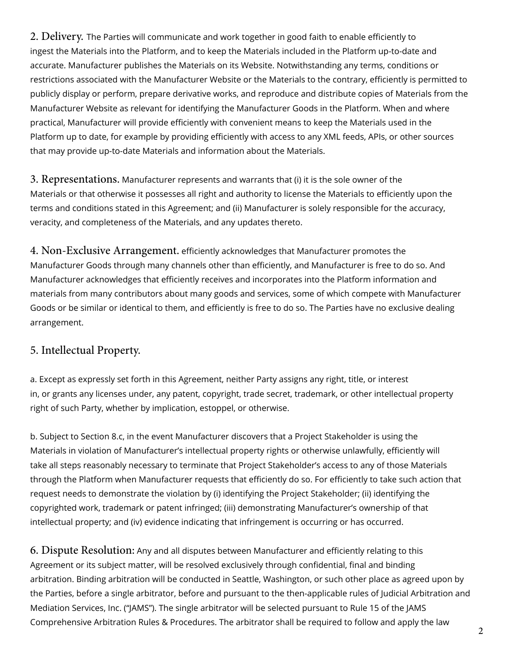2. Delivery. The Parties will communicate and work together in good faith to enable efficiently to ingest the Materials into the Platform, and to keep the Materials included in the Platform up-to-date and accurate. Manufacturer publishes the Materials on its Website. Notwithstanding any terms, conditions or restrictions associated with the Manufacturer Website or the Materials to the contrary, efficiently is permitted to publicly display or perform, prepare derivative works, and reproduce and distribute copies of Materials from the Manufacturer Website as relevant for identifying the Manufacturer Goods in the Platform. When and where practical, Manufacturer will provide efficiently with convenient means to keep the Materials used in the Platform up to date, for example by providing efficiently with access to any XML feeds, APIs, or other sources that may provide up-to-date Materials and information about the Materials.

3. Representations. Manufacturer represents and warrants that (i) it is the sole owner of the Materials or that otherwise it possesses all right and authority to license the Materials to efficiently upon the terms and conditions stated in this Agreement; and (ii) Manufacturer is solely responsible for the accuracy, veracity, and completeness of the Materials, and any updates thereto.

4. Non-Exclusive Arrangement. efficiently acknowledges that Manufacturer promotes the Manufacturer Goods through many channels other than efficiently, and Manufacturer is free to do so. And Manufacturer acknowledges that efficiently receives and incorporates into the Platform information and materials from many contributors about many goods and services, some of which compete with Manufacturer Goods or be similar or identical to them, and efficiently is free to do so. The Parties have no exclusive dealing arrangement.

### 5. Intellectual Property.

a. Except as expressly set forth in this Agreement, neither Party assigns any right, title, or interest in, or grants any licenses under, any patent, copyright, trade secret, trademark, or other intellectual property right of such Party, whether by implication, estoppel, or otherwise.

b. Subject to Section 8.c, in the event Manufacturer discovers that a Project Stakeholder is using the Materials in violation of Manufacturer's intellectual property rights or otherwise unlawfully, efficiently will take all steps reasonably necessary to terminate that Project Stakeholder's access to any of those Materials through the Platform when Manufacturer requests that efficiently do so. For efficiently to take such action that request needs to demonstrate the violation by (i) identifying the Project Stakeholder; (ii) identifying the copyrighted work, trademark or patent infringed; (iii) demonstrating Manufacturer's ownership of that intellectual property; and (iv) evidence indicating that infringement is occurring or has occurred.

6. Dispute Resolution: Any and all disputes between Manufacturer and efficiently relating to this Agreement or its subject matter, will be resolved exclusively through confidential, final and binding arbitration. Binding arbitration will be conducted in Seattle, Washington, or such other place as agreed upon by the Parties, before a single arbitrator, before and pursuant to the then-applicable rules of Judicial Arbitration and Mediation Services, Inc. ("JAMS"). The single arbitrator will be selected pursuant to Rule 15 of the JAMS Comprehensive Arbitration Rules & Procedures. The arbitrator shall be required to follow and apply the law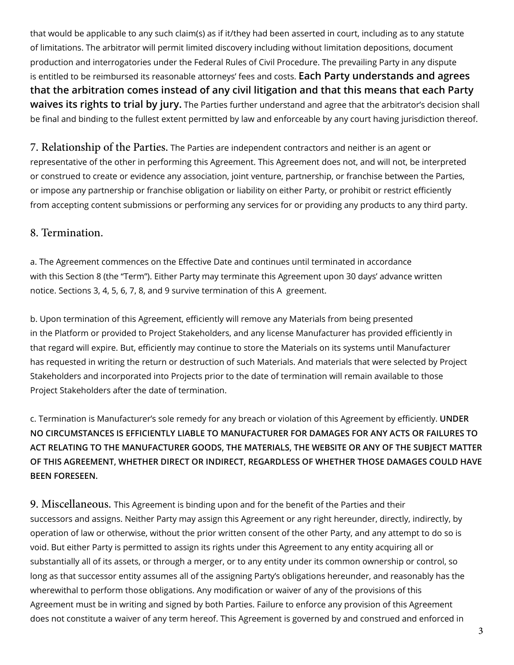that would be applicable to any such claim(s) as if it/they had been asserted in court, including as to any statute of limitations. The arbitrator will permit limited discovery including without limitation depositions, document production and interrogatories under the Federal Rules of Civil Procedure. The prevailing Party in any dispute is entitled to be reimbursed its reasonable attorneys' fees and costs. **Each Party understands and agrees that the arbitration comes instead of any civil litigation and that this means that each Party waives its rights to trial by jury.** The Parties further understand and agree that the arbitrator's decision shall be final and binding to the fullest extent permitted by law and enforceable by any court having jurisdiction thereof.

7. Relationship of the Parties. The Parties are independent contractors and neither is an agent or representative of the other in performing this Agreement. This Agreement does not, and will not, be interpreted or construed to create or evidence any association, joint venture, partnership, or franchise between the Parties, or impose any partnership or franchise obligation or liability on either Party, or prohibit or restrict efficiently from accepting content submissions or performing any services for or providing any products to any third party.

#### 8. Termination.

a. The Agreement commences on the Effective Date and continues until terminated in accordance with this Section 8 (the "Term"). Either Party may terminate this Agreement upon 30 days' advance written notice. Sections 3, 4, 5, 6, 7, 8, and 9 survive termination of this A greement.

b. Upon termination of this Agreement, efficiently will remove any Materials from being presented in the Platform or provided to Project Stakeholders, and any license Manufacturer has provided efficiently in that regard will expire. But, efficiently may continue to store the Materials on its systems until Manufacturer has requested in writing the return or destruction of such Materials. And materials that were selected by Project Stakeholders and incorporated into Projects prior to the date of termination will remain available to those Project Stakeholders after the date of termination.

c. Termination is Manufacturer's sole remedy for any breach or violation of this Agreement by efficiently. **UNDER NO CIRCUMSTANCES IS EFFICIENTLY LIABLE TO MANUFACTURER FOR DAMAGES FOR ANY ACTS OR FAILURES TO ACT RELATING TO THE MANUFACTURER GOODS, THE MATERIALS, THE WEBSITE OR ANY OF THE SUBJECT MATTER OF THIS AGREEMENT, WHETHER DIRECT OR INDIRECT, REGARDLESS OF WHETHER THOSE DAMAGES COULD HAVE BEEN FORESEEN.**

9. Miscellaneous. This Agreement is binding upon and for the benefit of the Parties and their successors and assigns. Neither Party may assign this Agreement or any right hereunder, directly, indirectly, by operation of law or otherwise, without the prior written consent of the other Party, and any attempt to do so is void. But either Party is permitted to assign its rights under this Agreement to any entity acquiring all or substantially all of its assets, or through a merger, or to any entity under its common ownership or control, so long as that successor entity assumes all of the assigning Party's obligations hereunder, and reasonably has the wherewithal to perform those obligations. Any modification or waiver of any of the provisions of this Agreement must be in writing and signed by both Parties. Failure to enforce any provision of this Agreement does not constitute a waiver of any term hereof. This Agreement is governed by and construed and enforced in